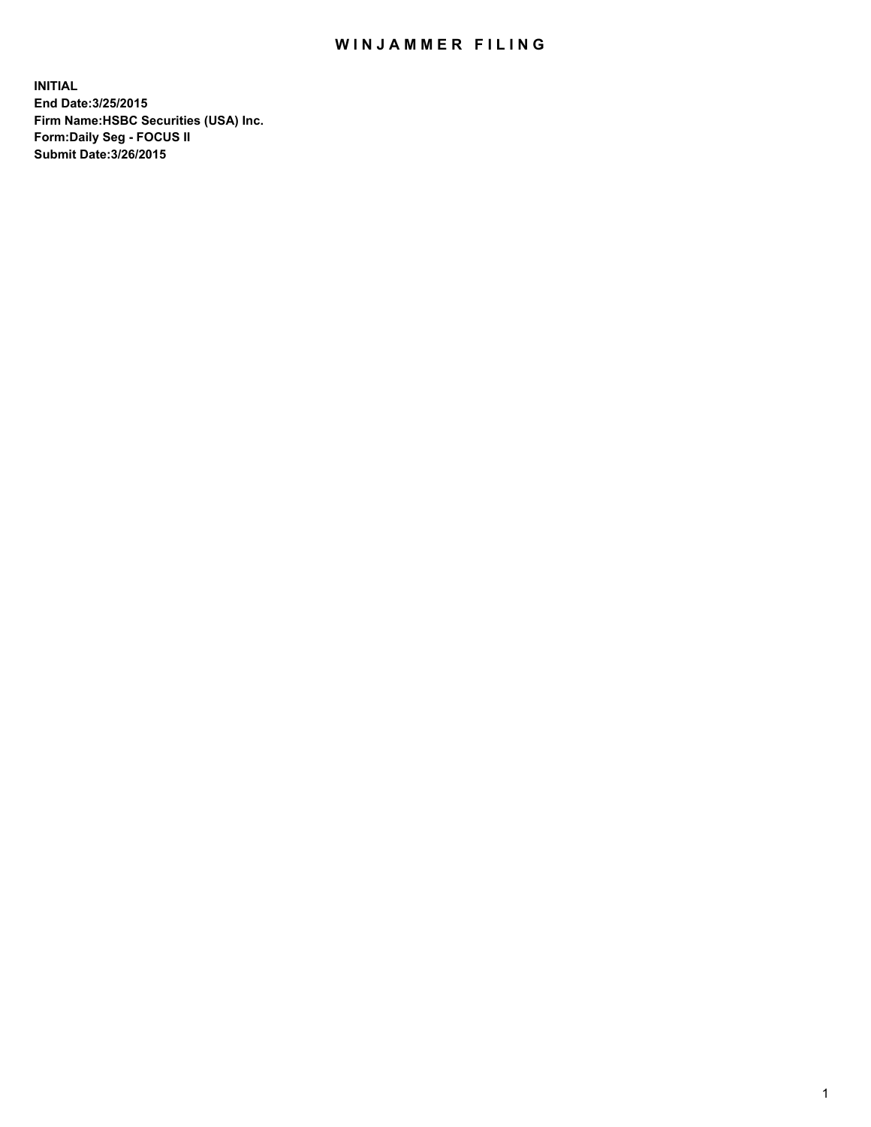## WIN JAMMER FILING

**INITIAL End Date:3/25/2015 Firm Name:HSBC Securities (USA) Inc. Form:Daily Seg - FOCUS II Submit Date:3/26/2015**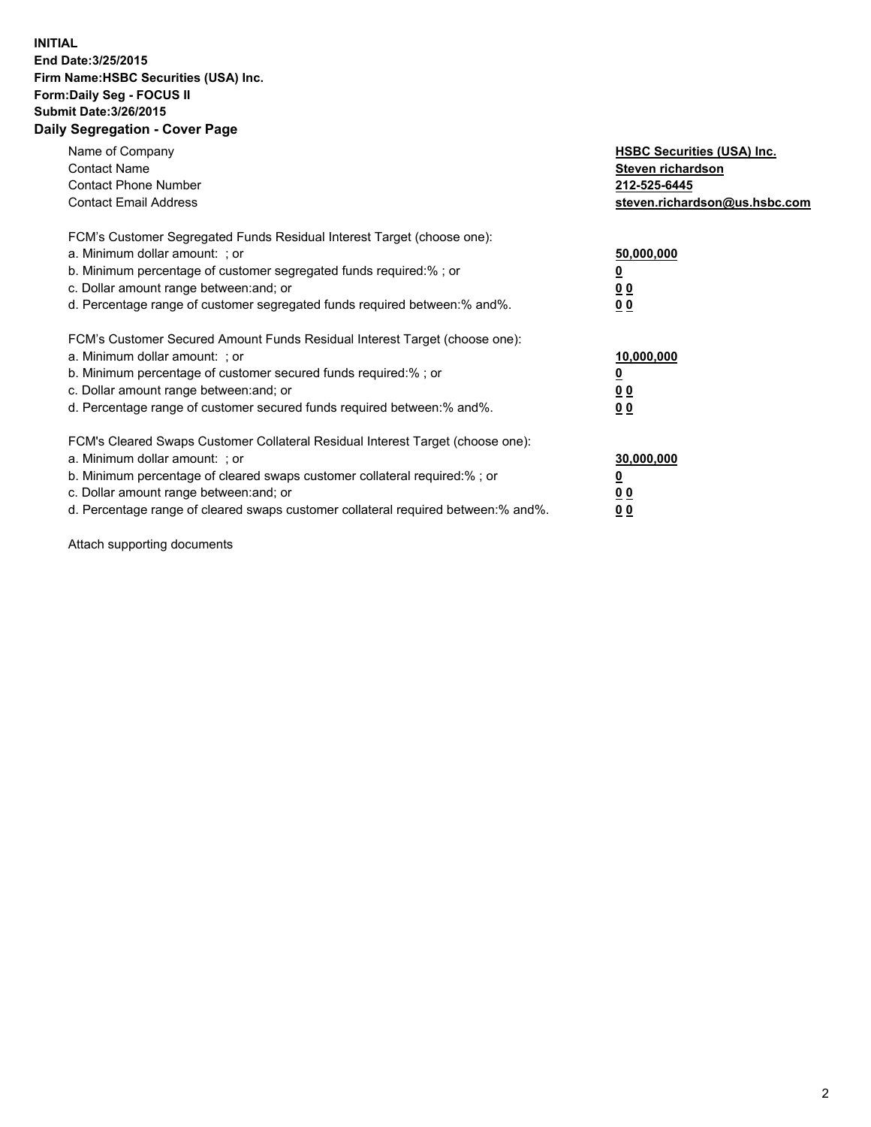## **INITIAL End Date:3/25/2015 Firm Name:HSBC Securities (USA) Inc. Form:Daily Seg - FOCUS II Submit Date:3/26/2015 Daily Segregation - Cover Page**

| Name of Company<br><b>Contact Name</b><br><b>Contact Phone Number</b><br><b>Contact Email Address</b>                                                                                                                                                                                                                         | <b>HSBC Securities (USA) Inc.</b><br>Steven richardson<br>212-525-6445<br>steven.richardson@us.hsbc.com |
|-------------------------------------------------------------------------------------------------------------------------------------------------------------------------------------------------------------------------------------------------------------------------------------------------------------------------------|---------------------------------------------------------------------------------------------------------|
| FCM's Customer Segregated Funds Residual Interest Target (choose one):<br>a. Minimum dollar amount: ; or<br>b. Minimum percentage of customer segregated funds required:%; or<br>c. Dollar amount range between: and; or<br>d. Percentage range of customer segregated funds required between:% and%.                         | 50,000,000<br>00<br>0 <sub>0</sub>                                                                      |
| FCM's Customer Secured Amount Funds Residual Interest Target (choose one):<br>a. Minimum dollar amount: ; or<br>b. Minimum percentage of customer secured funds required:%; or<br>c. Dollar amount range between: and; or<br>d. Percentage range of customer secured funds required between:% and%.                           | 10,000,000<br>0 <sub>0</sub><br>00                                                                      |
| FCM's Cleared Swaps Customer Collateral Residual Interest Target (choose one):<br>a. Minimum dollar amount: ; or<br>b. Minimum percentage of cleared swaps customer collateral required:%; or<br>c. Dollar amount range between: and; or<br>d. Percentage range of cleared swaps customer collateral required between:% and%. | 30,000,000<br><u>00</u><br><u>00</u>                                                                    |

Attach supporting documents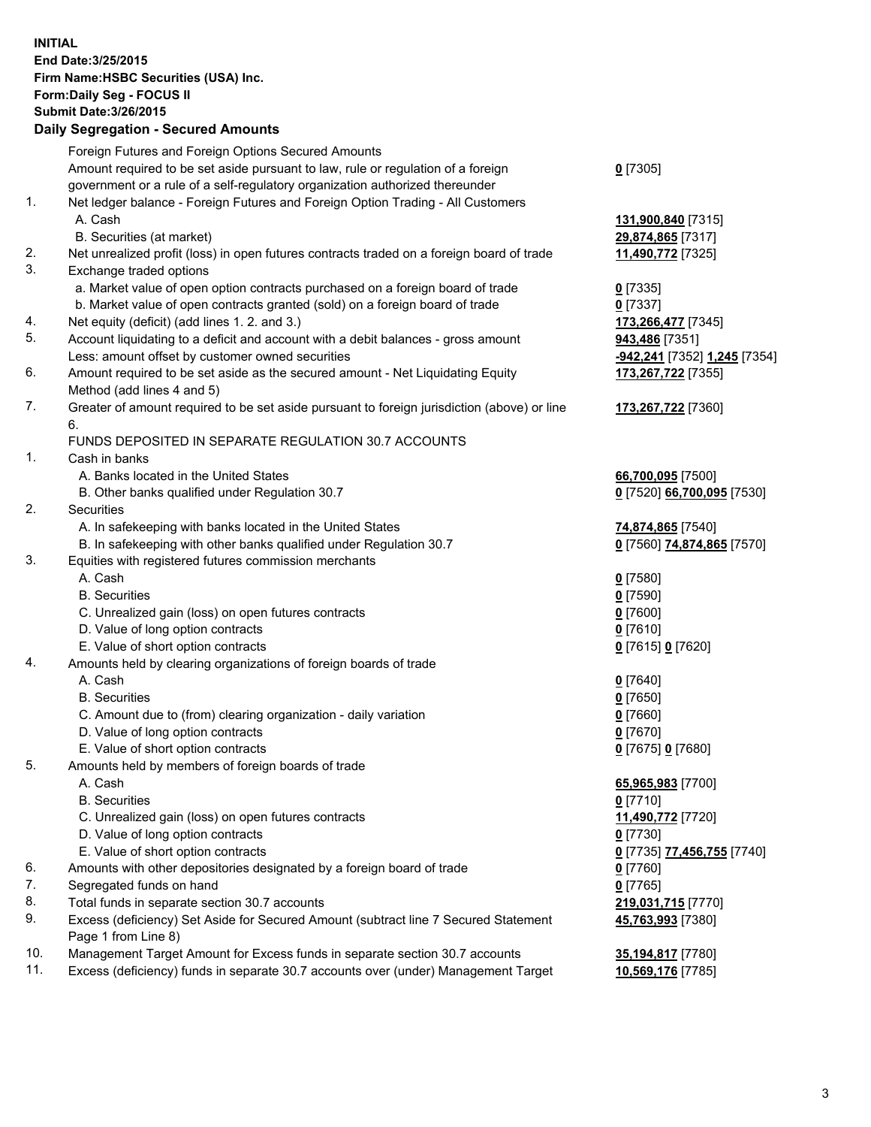**INITIAL End Date:3/25/2015 Firm Name:HSBC Securities (USA) Inc. Form:Daily Seg - FOCUS II Submit Date:3/26/2015 Daily Segregation - Secured Amounts**

Foreign Futures and Foreign Options Secured Amounts Amount required to be set aside pursuant to law, rule or regulation of a foreign government or a rule of a self-regulatory organization authorized thereunder **0** [7305] 1. Net ledger balance - Foreign Futures and Foreign Option Trading - All Customers A. Cash **131,900,840** [7315] B. Securities (at market) **29,874,865** [7317] 2. Net unrealized profit (loss) in open futures contracts traded on a foreign board of trade **11,490,772** [7325] 3. Exchange traded options a. Market value of open option contracts purchased on a foreign board of trade **0** [7335] b. Market value of open contracts granted (sold) on a foreign board of trade **0** [7337] 4. Net equity (deficit) (add lines 1. 2. and 3.) **173,266,477** [7345] 5. Account liquidating to a deficit and account with a debit balances - gross amount **943,486** [7351] Less: amount offset by customer owned securities **-942,241** [7352] **1,245** [7354] 6. Amount required to be set aside as the secured amount - Net Liquidating Equity Method (add lines 4 and 5) **173,267,722** [7355] 7. Greater of amount required to be set aside pursuant to foreign jurisdiction (above) or line 6. **173,267,722** [7360] FUNDS DEPOSITED IN SEPARATE REGULATION 30.7 ACCOUNTS 1. Cash in banks A. Banks located in the United States **66,700,095** [7500] B. Other banks qualified under Regulation 30.7 **0** [7520] **66,700,095** [7530] 2. Securities A. In safekeeping with banks located in the United States **74,874,865** [7540] B. In safekeeping with other banks qualified under Regulation 30.7 **0** [7560] **74,874,865** [7570] 3. Equities with registered futures commission merchants A. Cash **0** [7580] B. Securities **0** [7590] C. Unrealized gain (loss) on open futures contracts **0** [7600] D. Value of long option contracts **0** [7610] E. Value of short option contracts **0** [7615] **0** [7620] 4. Amounts held by clearing organizations of foreign boards of trade A. Cash **0** [7640] B. Securities **0** [7650] C. Amount due to (from) clearing organization - daily variation **0** [7660] D. Value of long option contracts **0** [7670] E. Value of short option contracts **0** [7675] **0** [7680] 5. Amounts held by members of foreign boards of trade A. Cash **65,965,983** [7700] B. Securities **0** [7710] C. Unrealized gain (loss) on open futures contracts **11,490,772** [7720] D. Value of long option contracts **0** [7730] E. Value of short option contracts **0** [7735] **77,456,755** [7740] 6. Amounts with other depositories designated by a foreign board of trade **0** [7760] 7. Segregated funds on hand **0** [7765] 8. Total funds in separate section 30.7 accounts **219,031,715** [7770] 9. Excess (deficiency) Set Aside for Secured Amount (subtract line 7 Secured Statement Page 1 from Line 8) **45,763,993** [7380] 10. Management Target Amount for Excess funds in separate section 30.7 accounts **35,194,817** [7780] 11. Excess (deficiency) funds in separate 30.7 accounts over (under) Management Target **10,569,176** [7785]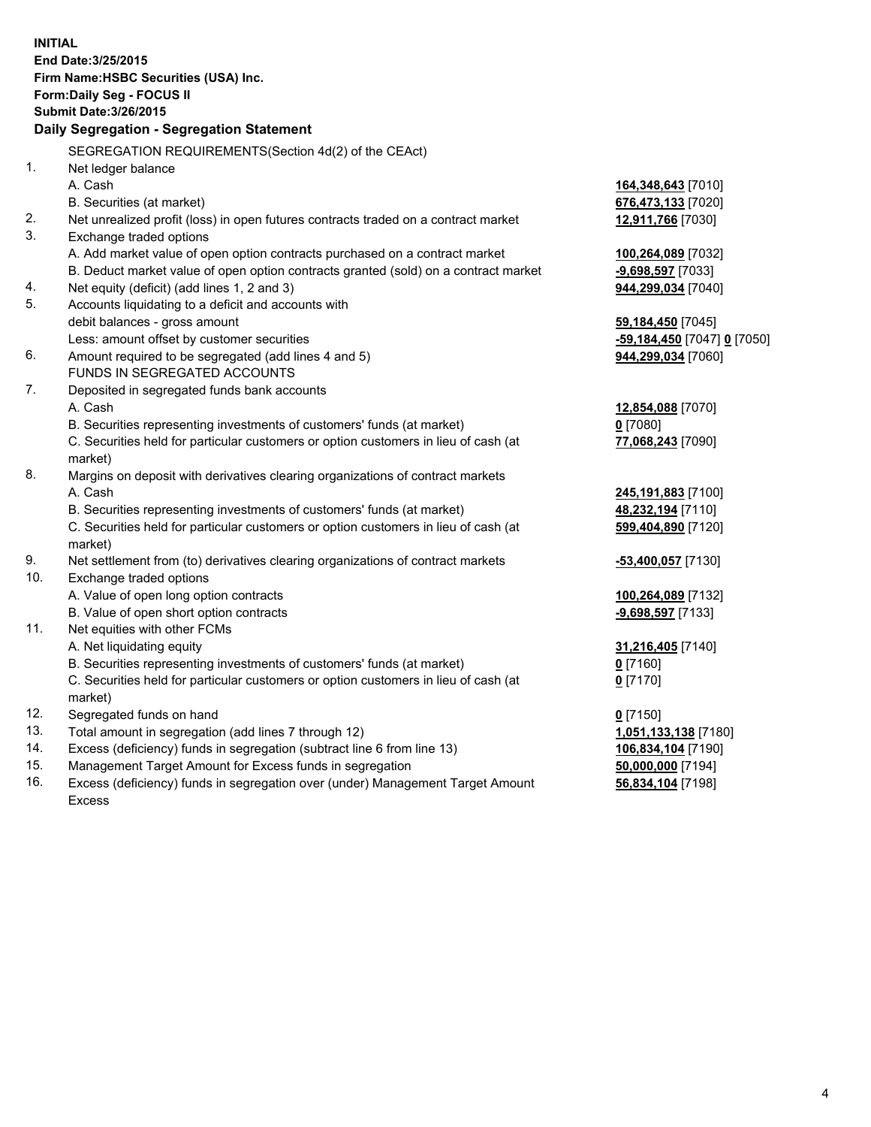| <b>INITIAL</b> | End Date: 3/25/2015<br>Firm Name: HSBC Securities (USA) Inc.<br>Form: Daily Seg - FOCUS II     |                             |  |  |  |  |
|----------------|------------------------------------------------------------------------------------------------|-----------------------------|--|--|--|--|
|                | <b>Submit Date: 3/26/2015</b>                                                                  |                             |  |  |  |  |
|                | Daily Segregation - Segregation Statement                                                      |                             |  |  |  |  |
|                | SEGREGATION REQUIREMENTS(Section 4d(2) of the CEAct)                                           |                             |  |  |  |  |
| 1.             | Net ledger balance                                                                             |                             |  |  |  |  |
|                | A. Cash                                                                                        | 164,348,643 [7010]          |  |  |  |  |
|                | B. Securities (at market)                                                                      | 676,473,133 [7020]          |  |  |  |  |
| 2.             | Net unrealized profit (loss) in open futures contracts traded on a contract market             | 12,911,766 [7030]           |  |  |  |  |
| 3.             | Exchange traded options                                                                        |                             |  |  |  |  |
|                | A. Add market value of open option contracts purchased on a contract market                    | 100,264,089 [7032]          |  |  |  |  |
|                | B. Deduct market value of open option contracts granted (sold) on a contract market            | -9,698,597 [7033]           |  |  |  |  |
| 4.             | Net equity (deficit) (add lines 1, 2 and 3)                                                    | 944,299,034 [7040]          |  |  |  |  |
| 5.             | Accounts liquidating to a deficit and accounts with                                            |                             |  |  |  |  |
|                | debit balances - gross amount                                                                  | 59,184,450 [7045]           |  |  |  |  |
|                | Less: amount offset by customer securities                                                     | -59,184,450 [7047] 0 [7050] |  |  |  |  |
| 6.             | Amount required to be segregated (add lines 4 and 5)                                           | 944,299,034 [7060]          |  |  |  |  |
|                | FUNDS IN SEGREGATED ACCOUNTS                                                                   |                             |  |  |  |  |
| 7.             | Deposited in segregated funds bank accounts                                                    |                             |  |  |  |  |
|                | A. Cash                                                                                        | 12,854,088 [7070]           |  |  |  |  |
|                | B. Securities representing investments of customers' funds (at market)                         | $0$ [7080]                  |  |  |  |  |
|                | C. Securities held for particular customers or option customers in lieu of cash (at            | 77,068,243 [7090]           |  |  |  |  |
|                | market)                                                                                        |                             |  |  |  |  |
| 8.             | Margins on deposit with derivatives clearing organizations of contract markets                 |                             |  |  |  |  |
|                | A. Cash                                                                                        | 245,191,883 [7100]          |  |  |  |  |
|                | B. Securities representing investments of customers' funds (at market)                         | 48,232,194 [7110]           |  |  |  |  |
|                | C. Securities held for particular customers or option customers in lieu of cash (at<br>market) | 599,404,890 [7120]          |  |  |  |  |
| 9.             | Net settlement from (to) derivatives clearing organizations of contract markets                | -53,400,057 [7130]          |  |  |  |  |
| 10.            | Exchange traded options                                                                        |                             |  |  |  |  |
|                | A. Value of open long option contracts                                                         | 100,264,089 [7132]          |  |  |  |  |
|                | B. Value of open short option contracts                                                        | -9,698,597 [7133]           |  |  |  |  |
| 11.            | Net equities with other FCMs                                                                   |                             |  |  |  |  |
|                | A. Net liquidating equity                                                                      | 31,216,405 [7140]           |  |  |  |  |
|                | B. Securities representing investments of customers' funds (at market)                         | 0 <sup>[7160]</sup>         |  |  |  |  |
|                | C. Securities held for particular customers or option customers in lieu of cash (at<br>market) | $0$ [7170]                  |  |  |  |  |
| 12.            | Segregated funds on hand                                                                       | $0$ [7150]                  |  |  |  |  |
| 13.            | Total amount in segregation (add lines 7 through 12)                                           | 1,051,133,138 [7180]        |  |  |  |  |
| 14.            | Excess (deficiency) funds in segregation (subtract line 6 from line 13)                        | 106,834,104 [7190]          |  |  |  |  |
| 15.            | Management Target Amount for Excess funds in segregation                                       | 50,000,000 [7194]           |  |  |  |  |
| 16.            | Excess (deficiency) funds in segregation over (under) Management Target Amount                 | 56,834,104 [7198]           |  |  |  |  |

16. Excess (deficiency) funds in segregation over (under) Management Target Amount Excess